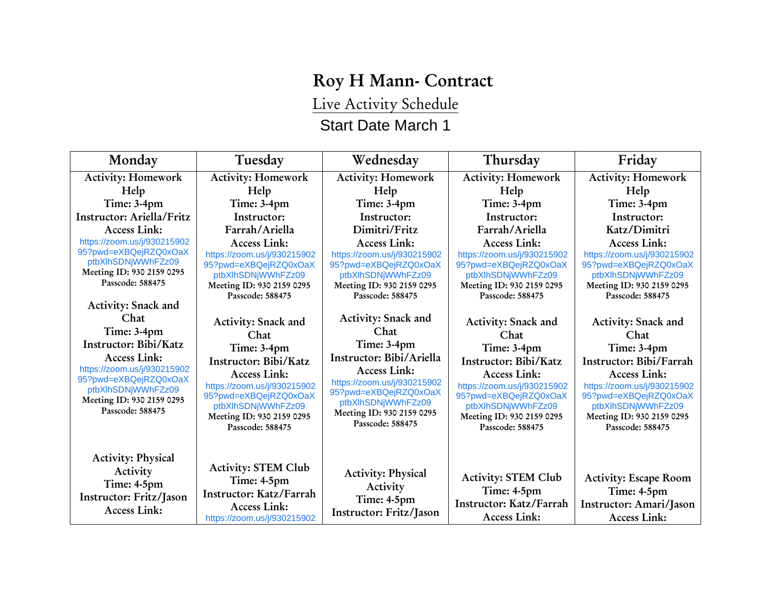## **Roy H Mann- Contract**

Live Activity Schedule

## Start Date March 1

| Monday                                                                                                                                                                                                                                                                                                                                                          | Tuesday                                                                                                                                                                                                                                                                                                                                                                         | Wednesday                                                                                                                                                                                                                                                                                                                                                                                 | Thursday                                                                                                                                                                                                                                                                                                                                                                        | Friday                                                                                                                                                                                                                                                                                                                                                                                   |
|-----------------------------------------------------------------------------------------------------------------------------------------------------------------------------------------------------------------------------------------------------------------------------------------------------------------------------------------------------------------|---------------------------------------------------------------------------------------------------------------------------------------------------------------------------------------------------------------------------------------------------------------------------------------------------------------------------------------------------------------------------------|-------------------------------------------------------------------------------------------------------------------------------------------------------------------------------------------------------------------------------------------------------------------------------------------------------------------------------------------------------------------------------------------|---------------------------------------------------------------------------------------------------------------------------------------------------------------------------------------------------------------------------------------------------------------------------------------------------------------------------------------------------------------------------------|------------------------------------------------------------------------------------------------------------------------------------------------------------------------------------------------------------------------------------------------------------------------------------------------------------------------------------------------------------------------------------------|
| <b>Activity: Homework</b>                                                                                                                                                                                                                                                                                                                                       | <b>Activity: Homework</b>                                                                                                                                                                                                                                                                                                                                                       | <b>Activity: Homework</b>                                                                                                                                                                                                                                                                                                                                                                 | <b>Activity: Homework</b>                                                                                                                                                                                                                                                                                                                                                       | <b>Activity: Homework</b>                                                                                                                                                                                                                                                                                                                                                                |
| Help                                                                                                                                                                                                                                                                                                                                                            | Help                                                                                                                                                                                                                                                                                                                                                                            | Help                                                                                                                                                                                                                                                                                                                                                                                      | Help                                                                                                                                                                                                                                                                                                                                                                            | Help                                                                                                                                                                                                                                                                                                                                                                                     |
| Time: 3-4pm                                                                                                                                                                                                                                                                                                                                                     | Time: 3-4pm                                                                                                                                                                                                                                                                                                                                                                     | Time: 3-4pm                                                                                                                                                                                                                                                                                                                                                                               | Time: 3-4pm                                                                                                                                                                                                                                                                                                                                                                     | Time: 3-4pm                                                                                                                                                                                                                                                                                                                                                                              |
| Instructor: Ariella/Fritz                                                                                                                                                                                                                                                                                                                                       | Instructor:                                                                                                                                                                                                                                                                                                                                                                     | Instructor:                                                                                                                                                                                                                                                                                                                                                                               | Instructor:                                                                                                                                                                                                                                                                                                                                                                     | Instructor:                                                                                                                                                                                                                                                                                                                                                                              |
| <b>Access Link:</b>                                                                                                                                                                                                                                                                                                                                             | Farrah/Ariella                                                                                                                                                                                                                                                                                                                                                                  | Dimitri/Fritz                                                                                                                                                                                                                                                                                                                                                                             | Farrah/Ariella                                                                                                                                                                                                                                                                                                                                                                  | Katz/Dimitri                                                                                                                                                                                                                                                                                                                                                                             |
| https://zoom.us/j/930215902<br>95?pwd=eXBQejRZQ0xOaX<br>ptbXlhSDNjWWhFZz09<br>Meeting ID: 930 2159 0295<br>Passcode: 588475<br><b>Activity: Snack and</b><br>Chat<br>Time: 3-4pm<br>Instructor: Bibi/Katz<br><b>Access Link:</b><br>https://zoom.us/j/930215902<br>95?pwd=eXBQejRZQ0xOaX<br>ptbXlhSDNjWWhFZz09<br>Meeting ID: 930 2159 0295<br>Passcode: 588475 | Access Link:<br>https://zoom.us/j/930215902<br>95?pwd=eXBQejRZQ0xOaX<br>ptbXlhSDNjWWhFZz09<br>Meeting ID: 930 2159 0295<br>Passcode: 588475<br><b>Activity: Snack and</b><br>Chat<br>Time: 3-4pm<br>Instructor: Bibi/Katz<br><b>Access Link:</b><br>https://zoom.us/j/930215902<br>95?pwd=eXBQejRZQ0xOaX<br>ptbXlhSDNjWWhFZz09<br>Meeting ID: 930 2159 0295<br>Passcode: 588475 | <b>Access Link:</b><br>https://zoom.us/j/930215902<br>95?pwd=eXBQejRZQ0xOaX<br>ptbXlhSDNjWWhFZz09<br>Meeting ID: 930 2159 0295<br>Passcode: 588475<br><b>Activity: Snack and</b><br>Chat<br>Time: 3-4pm<br>Instructor: Bibi/Ariella<br><b>Access Link:</b><br>https://zoom.us/j/930215902<br>95?pwd=eXBQejRZQ0xOaX<br>ptbXlhSDNjWWhFZz09<br>Meeting ID: 930 2159 0295<br>Passcode: 588475 | <b>Access Link:</b><br>https://zoom.us/j/930215902<br>95?pwd=eXBQejRZQ0xOaX<br>ptbXlhSDNjWWhFZz09<br>Meeting ID: 930 2159 0295<br>Passcode: 588475<br><b>Activity: Snack and</b><br>Chat<br>Time: 3-4pm<br>Instructor: Bibi/Katz<br>Access Link:<br>https://zoom.us/j/930215902<br>95?pwd=eXBQejRZQ0xOaX<br>ptbXlhSDNjWWhFZz09<br>Meeting ID: 930 2159 0295<br>Passcode: 588475 | <b>Access Link:</b><br>https://zoom.us/j/930215902<br>95?pwd=eXBQejRZQ0xOaX<br>ptbXlhSDNjWWhFZz09<br>Meeting ID: 930 2159 0295<br>Passcode: 588475<br><b>Activity: Snack and</b><br>Chat<br>Time: 3-4pm<br>Instructor: Bibi/Farrah<br><b>Access Link:</b><br>https://zoom.us/j/930215902<br>95?pwd=eXBQejRZQ0xOaX<br>ptbXlhSDNjWWhFZz09<br>Meeting ID: 930 2159 0295<br>Passcode: 588475 |
| <b>Activity: Physical</b><br>Activity<br>Time: 4-5pm<br>Instructor: Fritz/Jason<br><b>Access Link:</b>                                                                                                                                                                                                                                                          | <b>Activity: STEM Club</b><br>Time: 4-5pm<br>Instructor: Katz/Farrah<br><b>Access Link:</b><br>https://zoom.us/j/930215902                                                                                                                                                                                                                                                      | <b>Activity: Physical</b><br>Activity<br>Time: 4-5pm<br>Instructor: Fritz/Jason                                                                                                                                                                                                                                                                                                           | <b>Activity: STEM Club</b><br>Time: 4-5pm<br>Instructor: Katz/Farrah<br><b>Access Link:</b>                                                                                                                                                                                                                                                                                     | <b>Activity: Escape Room</b><br>Time: 4-5pm<br>Instructor: Amari/Jason<br><b>Access Link:</b>                                                                                                                                                                                                                                                                                            |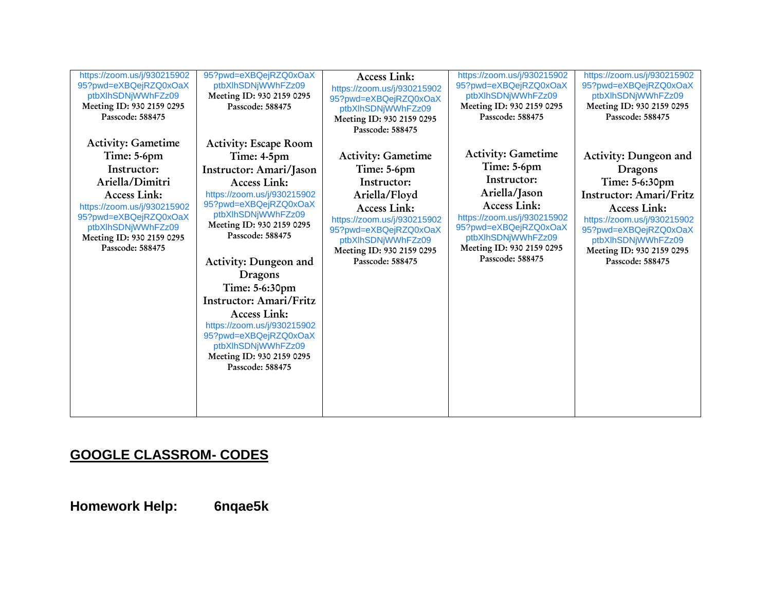| https://zoom.us/j/930215902<br>95?pwd=eXBQejRZQ0xOaX<br>ptbXlhSDNjWWhFZz09<br>Meeting ID: 930 2159 0295<br>Passcode: 588475                                                                                                      | 95?pwd=eXBQejRZQ0xOaX<br>ptbXlhSDNjWWhFZz09<br>Meeting ID: 930 2159 0295<br>Passcode: 588475                                                                                                                                                                                                                                                                                                                                                                        | <b>Access Link:</b><br>https://zoom.us/j/930215902<br>95?pwd=eXBQejRZQ0xOaX<br>ptbXlhSDNjWWhFZz09<br>Meeting ID: 930 2159 0295<br>Passcode: 588475                                                                             | https://zoom.us/j/930215902<br>95?pwd=eXBQejRZQ0xOaX<br>ptbXlhSDNjWWhFZz09<br>Meeting ID: 930 2159 0295<br>Passcode: 588475                                                                                                    | https://zoom.us/j/930215902<br>95?pwd=eXBQejRZQ0xOaX<br>ptbXlhSDNjWWhFZz09<br>Meeting ID: 930 2159 0295<br>Passcode: 588475                                                                                                                |
|----------------------------------------------------------------------------------------------------------------------------------------------------------------------------------------------------------------------------------|---------------------------------------------------------------------------------------------------------------------------------------------------------------------------------------------------------------------------------------------------------------------------------------------------------------------------------------------------------------------------------------------------------------------------------------------------------------------|--------------------------------------------------------------------------------------------------------------------------------------------------------------------------------------------------------------------------------|--------------------------------------------------------------------------------------------------------------------------------------------------------------------------------------------------------------------------------|--------------------------------------------------------------------------------------------------------------------------------------------------------------------------------------------------------------------------------------------|
| <b>Activity: Gametime</b><br>Time: 5-6pm<br>Instructor:<br>Ariella/Dimitri<br><b>Access Link:</b><br>https://zoom.us/j/930215902<br>95?pwd=eXBQejRZQ0xOaX<br>ptbXlhSDNjWWhFZz09<br>Meeting ID: 930 2159 0295<br>Passcode: 588475 | <b>Activity: Escape Room</b><br>Time: 4-5pm<br>Instructor: Amari/Jason<br><b>Access Link:</b><br>https://zoom.us/j/930215902<br>95?pwd=eXBQejRZQ0xOaX<br>ptbXlhSDNjWWhFZz09<br>Meeting ID: 930 2159 0295<br>Passcode: 588475<br>Activity: Dungeon and<br>Dragons<br>Time: 5-6:30pm<br>Instructor: Amari/Fritz<br><b>Access Link:</b><br>https://zoom.us/j/930215902<br>95?pwd=eXBQejRZQ0xOaX<br>ptbXlhSDNjWWhFZz09<br>Meeting ID: 930 2159 0295<br>Passcode: 588475 | <b>Activity: Gametime</b><br>Time: 5-6pm<br>Instructor:<br>Ariella/Floyd<br><b>Access Link:</b><br>https://zoom.us/j/930215902<br>95?pwd=eXBQejRZQ0xOaX<br>ptbXlhSDNjWWhFZz09<br>Meeting ID: 930 2159 0295<br>Passcode: 588475 | <b>Activity: Gametime</b><br>Time: 5-6pm<br>Instructor:<br>Ariella/Jason<br><b>Access Link:</b><br>https://zoom.us/j/930215902<br>95?pwd=eXBQejRZQ0xOaX<br>ptbXlhSDNjWWhFZz09<br>Meeting ID: 930 2159 0295<br>Passcode: 588475 | Activity: Dungeon and<br>Dragons<br>Time: 5-6:30pm<br><b>Instructor: Amari/Fritz</b><br><b>Access Link:</b><br>https://zoom.us/j/930215902<br>95?pwd=eXBQejRZQ0xOaX<br>ptbXlhSDNjWWhFZz09<br>Meeting ID: 930 2159 0295<br>Passcode: 588475 |

## **GOOGLE CLASSROM- CODES**

**Homework Help: 6nqae5k**